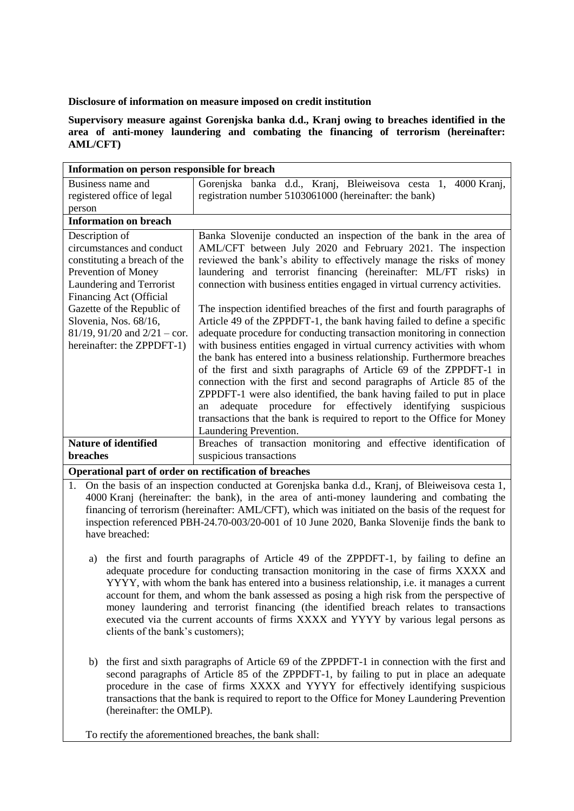**Disclosure of information on measure imposed on credit institution**

**Supervisory measure against Gorenjska banka d.d., Kranj owing to breaches identified in the area of anti-money laundering and combating the financing of terrorism (hereinafter: AML/CFT)** 

| Information on person responsible for breach |                                                                           |
|----------------------------------------------|---------------------------------------------------------------------------|
| Business name and                            | Gorenjska banka d.d., Kranj, Bleiweisova cesta 1, 4000 Kranj,             |
| registered office of legal                   | registration number 5103061000 (hereinafter: the bank)                    |
| person                                       |                                                                           |
| <b>Information on breach</b>                 |                                                                           |
| Description of                               | Banka Slovenije conducted an inspection of the bank in the area of        |
| circumstances and conduct                    | AML/CFT between July 2020 and February 2021. The inspection               |
| constituting a breach of the                 | reviewed the bank's ability to effectively manage the risks of money      |
| Prevention of Money                          | laundering and terrorist financing (hereinafter: ML/FT risks) in          |
| Laundering and Terrorist                     | connection with business entities engaged in virtual currency activities. |
| Financing Act (Official                      |                                                                           |
| Gazette of the Republic of                   | The inspection identified breaches of the first and fourth paragraphs of  |
| Slovenia, Nos. 68/16,                        | Article 49 of the ZPPDFT-1, the bank having failed to define a specific   |
| $81/19$ , $91/20$ and $2/21 - \text{cor}$ .  | adequate procedure for conducting transaction monitoring in connection    |
| hereinafter: the ZPPDFT-1)                   | with business entities engaged in virtual currency activities with whom   |
|                                              | the bank has entered into a business relationship. Furthermore breaches   |
|                                              | of the first and sixth paragraphs of Article 69 of the ZPPDFT-1 in        |
|                                              | connection with the first and second paragraphs of Article 85 of the      |
|                                              | ZPPDFT-1 were also identified, the bank having failed to put in place     |
|                                              | adequate procedure for effectively identifying<br>suspicious<br>an        |
|                                              | transactions that the bank is required to report to the Office for Money  |
|                                              | Laundering Prevention.                                                    |
| <b>Nature of identified</b>                  | Breaches of transaction monitoring and effective identification of        |
| breaches                                     | suspicious transactions                                                   |

**Operational part of order on rectification of breaches**

- 1. On the basis of an inspection conducted at Gorenjska banka d.d., Kranj, of Bleiweisova cesta 1, 4000 Kranj (hereinafter: the bank), in the area of anti-money laundering and combating the financing of terrorism (hereinafter: AML/CFT), which was initiated on the basis of the request for inspection referenced PBH-24.70-003/20-001 of 10 June 2020, Banka Slovenije finds the bank to have breached:
	- a) the first and fourth paragraphs of Article 49 of the ZPPDFT-1, by failing to define an adequate procedure for conducting transaction monitoring in the case of firms XXXX and YYYY, with whom the bank has entered into a business relationship, i.e. it manages a current account for them, and whom the bank assessed as posing a high risk from the perspective of money laundering and terrorist financing (the identified breach relates to transactions executed via the current accounts of firms XXXX and YYYY by various legal persons as clients of the bank's customers);
	- b) the first and sixth paragraphs of Article 69 of the ZPPDFT-1 in connection with the first and second paragraphs of Article 85 of the ZPPDFT-1, by failing to put in place an adequate procedure in the case of firms XXXX and YYYY for effectively identifying suspicious transactions that the bank is required to report to the Office for Money Laundering Prevention (hereinafter: the OMLP).

To rectify the aforementioned breaches, the bank shall: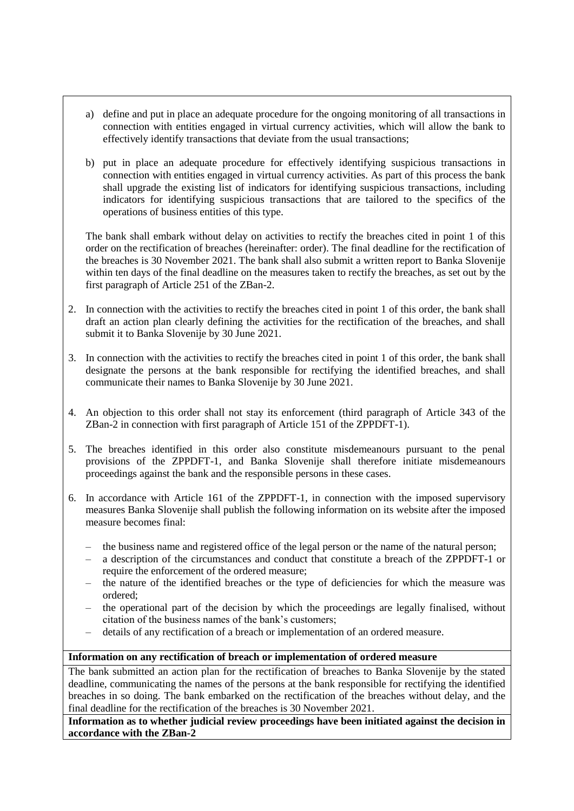- a) define and put in place an adequate procedure for the ongoing monitoring of all transactions in connection with entities engaged in virtual currency activities, which will allow the bank to effectively identify transactions that deviate from the usual transactions;
- b) put in place an adequate procedure for effectively identifying suspicious transactions in connection with entities engaged in virtual currency activities. As part of this process the bank shall upgrade the existing list of indicators for identifying suspicious transactions, including indicators for identifying suspicious transactions that are tailored to the specifics of the operations of business entities of this type.

The bank shall embark without delay on activities to rectify the breaches cited in point 1 of this order on the rectification of breaches (hereinafter: order). The final deadline for the rectification of the breaches is 30 November 2021. The bank shall also submit a written report to Banka Slovenije within ten days of the final deadline on the measures taken to rectify the breaches, as set out by the first paragraph of Article 251 of the ZBan-2.

- 2. In connection with the activities to rectify the breaches cited in point 1 of this order, the bank shall draft an action plan clearly defining the activities for the rectification of the breaches, and shall submit it to Banka Slovenije by 30 June 2021.
- 3. In connection with the activities to rectify the breaches cited in point 1 of this order, the bank shall designate the persons at the bank responsible for rectifying the identified breaches, and shall communicate their names to Banka Slovenije by 30 June 2021.
- 4. An objection to this order shall not stay its enforcement (third paragraph of Article 343 of the ZBan-2 in connection with first paragraph of Article 151 of the ZPPDFT-1).
- 5. The breaches identified in this order also constitute misdemeanours pursuant to the penal provisions of the ZPPDFT-1, and Banka Slovenije shall therefore initiate misdemeanours proceedings against the bank and the responsible persons in these cases.
- 6. In accordance with Article 161 of the ZPPDFT-1, in connection with the imposed supervisory measures Banka Slovenije shall publish the following information on its website after the imposed measure becomes final:
	- the business name and registered office of the legal person or the name of the natural person;
	- a description of the circumstances and conduct that constitute a breach of the ZPPDFT-1 or require the enforcement of the ordered measure;
	- the nature of the identified breaches or the type of deficiencies for which the measure was ordered;
	- the operational part of the decision by which the proceedings are legally finalised, without citation of the business names of the bank's customers;
	- details of any rectification of a breach or implementation of an ordered measure.

## **Information on any rectification of breach or implementation of ordered measure**

The bank submitted an action plan for the rectification of breaches to Banka Slovenije by the stated deadline, communicating the names of the persons at the bank responsible for rectifying the identified breaches in so doing. The bank embarked on the rectification of the breaches without delay, and the final deadline for the rectification of the breaches is 30 November 2021.

**Information as to whether judicial review proceedings have been initiated against the decision in accordance with the ZBan-2**